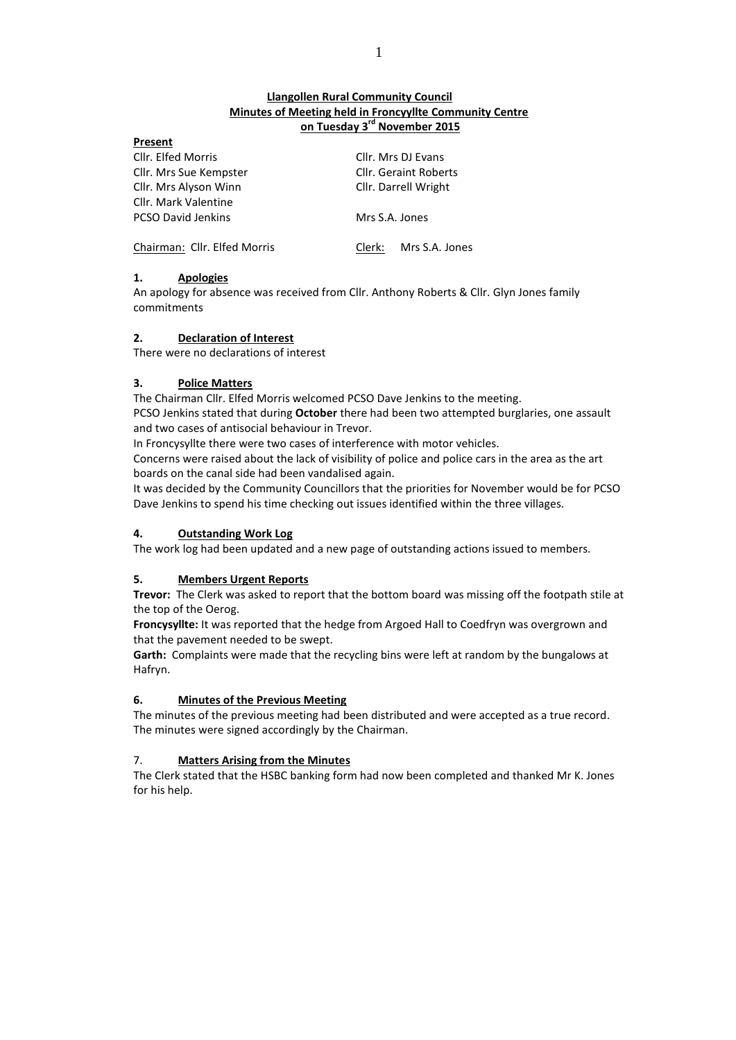# **Llangollen Rural Community Council Minutes of Meeting held in Froncyyllte Community Centre on Tuesday 3 rd November 2015**

| Present                      |                              |                    |
|------------------------------|------------------------------|--------------------|
| Cllr. Elfed Morris           |                              | Cllr. Mrs DJ Evans |
| Cllr. Mrs Sue Kempster       | <b>Cllr. Geraint Roberts</b> |                    |
| Cllr. Mrs Alyson Winn        | Cllr. Darrell Wright         |                    |
| <b>Cllr. Mark Valentine</b>  |                              |                    |
| <b>PCSO David Jenkins</b>    | Mrs S.A. Jones               |                    |
| Chairman: Cllr. Elfed Morris | Clerk:                       | Mrs S.A. Jones     |

# **1. Apologies**

An apology for absence was received from Cllr. Anthony Roberts & Cllr. Glyn Jones family commitments

## **2. Declaration of Interest**

There were no declarations of interest

# **3. Police Matters**

The Chairman Cllr. Elfed Morris welcomed PCSO Dave Jenkins to the meeting. PCSO Jenkins stated that during **October** there had been two attempted burglaries, one assault and two cases of antisocial behaviour in Trevor.

In Froncysyllte there were two cases of interference with motor vehicles.

Concerns were raised about the lack of visibility of police and police cars in the area as the art boards on the canal side had been vandalised again.

It was decided by the Community Councillors that the priorities for November would be for PCSO Dave Jenkins to spend his time checking out issues identified within the three villages.

# **4. Outstanding Work Log**

The work log had been updated and a new page of outstanding actions issued to members.

# **5. Members Urgent Reports**

**Trevor:** The Clerk was asked to report that the bottom board was missing off the footpath stile at the top of the Oerog.

**Froncysyllte:** It was reported that the hedge from Argoed Hall to Coedfryn was overgrown and that the pavement needed to be swept.

**Garth:** Complaints were made that the recycling bins were left at random by the bungalows at Hafryn.

# **6. Minutes of the Previous Meeting**

The minutes of the previous meeting had been distributed and were accepted as a true record. The minutes were signed accordingly by the Chairman.

# 7. **Matters Arising from the Minutes**

The Clerk stated that the HSBC banking form had now been completed and thanked Mr K. Jones for his help.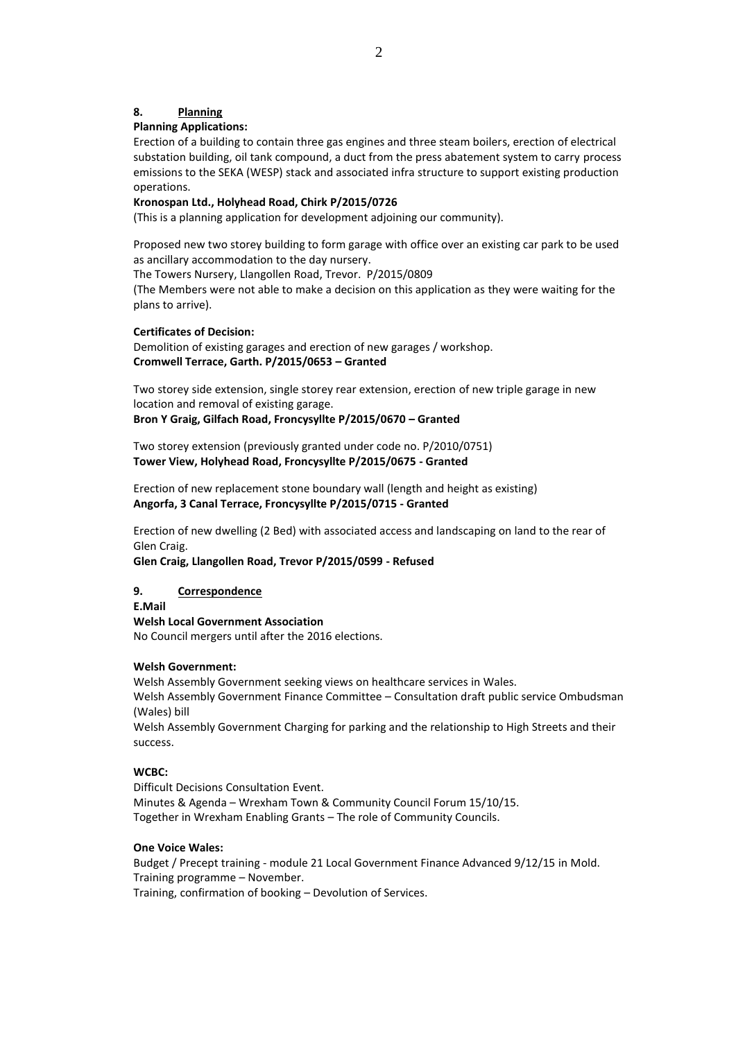### **8. Planning**

#### **Planning Applications:**

Erection of a building to contain three gas engines and three steam boilers, erection of electrical substation building, oil tank compound, a duct from the press abatement system to carry process emissions to the SEKA (WESP) stack and associated infra structure to support existing production operations.

#### **Kronospan Ltd., Holyhead Road, Chirk P/2015/0726**

(This is a planning application for development adjoining our community).

Proposed new two storey building to form garage with office over an existing car park to be used as ancillary accommodation to the day nursery.

The Towers Nursery, Llangollen Road, Trevor. P/2015/0809

(The Members were not able to make a decision on this application as they were waiting for the plans to arrive).

#### **Certificates of Decision:**

Demolition of existing garages and erection of new garages / workshop. **Cromwell Terrace, Garth. P/2015/0653 – Granted**

Two storey side extension, single storey rear extension, erection of new triple garage in new location and removal of existing garage.

**Bron Y Graig, Gilfach Road, Froncysyllte P/2015/0670 – Granted**

Two storey extension (previously granted under code no. P/2010/0751) **Tower View, Holyhead Road, Froncysyllte P/2015/0675 - Granted**

Erection of new replacement stone boundary wall (length and height as existing) **Angorfa, 3 Canal Terrace, Froncysyllte P/2015/0715 - Granted**

Erection of new dwelling (2 Bed) with associated access and landscaping on land to the rear of Glen Craig.

**Glen Craig, Llangollen Road, Trevor P/2015/0599 - Refused**

### **9. Correspondence**

**E.Mail**

#### **Welsh Local Government Association**

No Council mergers until after the 2016 elections.

### **Welsh Government:**

Welsh Assembly Government seeking views on healthcare services in Wales. Welsh Assembly Government Finance Committee – Consultation draft public service Ombudsman (Wales) bill

Welsh Assembly Government Charging for parking and the relationship to High Streets and their success.

### **WCBC:**

Difficult Decisions Consultation Event. Minutes & Agenda – Wrexham Town & Community Council Forum 15/10/15. Together in Wrexham Enabling Grants – The role of Community Councils.

#### **One Voice Wales:**

Budget / Precept training - module 21 Local Government Finance Advanced 9/12/15 in Mold. Training programme – November.

Training, confirmation of booking – Devolution of Services.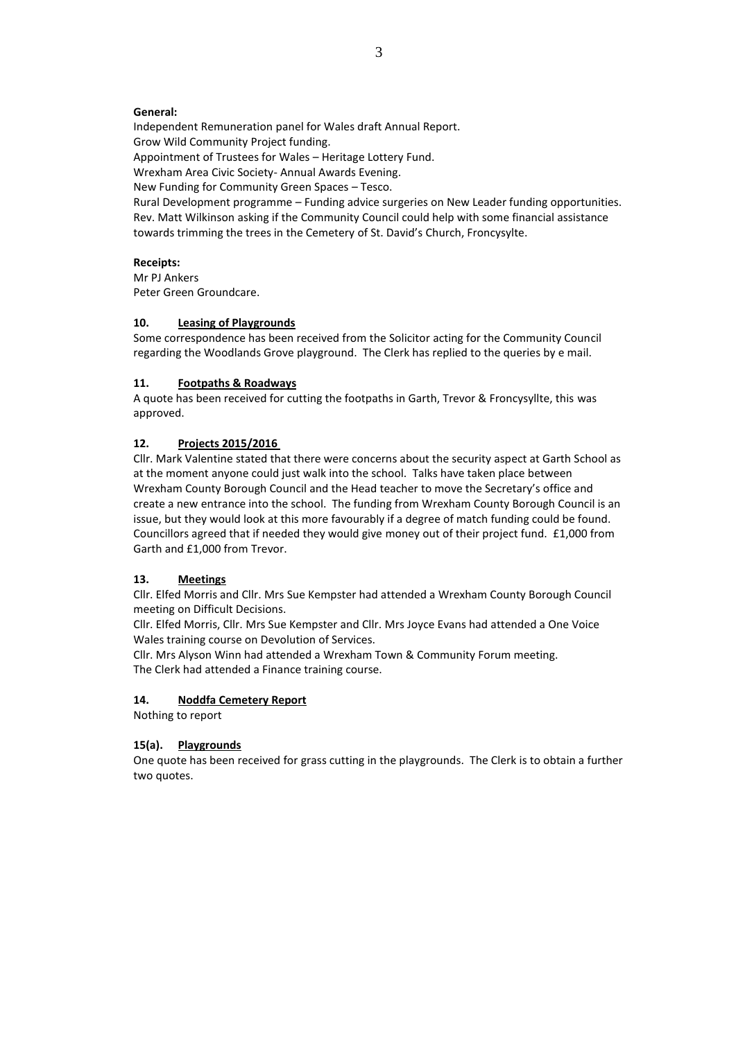#### **General:**

Independent Remuneration panel for Wales draft Annual Report. Grow Wild Community Project funding. Appointment of Trustees for Wales – Heritage Lottery Fund.

Wrexham Area Civic Society- Annual Awards Evening. New Funding for Community Green Spaces – Tesco.

Rural Development programme – Funding advice surgeries on New Leader funding opportunities. Rev. Matt Wilkinson asking if the Community Council could help with some financial assistance towards trimming the trees in the Cemetery of St. David's Church, Froncysylte.

### **Receipts:**

Mr PJ Ankers Peter Green Groundcare.

### **10. Leasing of Playgrounds**

Some correspondence has been received from the Solicitor acting for the Community Council regarding the Woodlands Grove playground. The Clerk has replied to the queries by e mail.

### **11. Footpaths & Roadways**

A quote has been received for cutting the footpaths in Garth, Trevor & Froncysyllte, this was approved.

### **12. Projects 2015/2016**

Cllr. Mark Valentine stated that there were concerns about the security aspect at Garth School as at the moment anyone could just walk into the school. Talks have taken place between Wrexham County Borough Council and the Head teacher to move the Secretary's office and create a new entrance into the school. The funding from Wrexham County Borough Council is an issue, but they would look at this more favourably if a degree of match funding could be found. Councillors agreed that if needed they would give money out of their project fund. £1,000 from Garth and £1,000 from Trevor.

### **13. Meetings**

Cllr. Elfed Morris and Cllr. Mrs Sue Kempster had attended a Wrexham County Borough Council meeting on Difficult Decisions.

Cllr. Elfed Morris, Cllr. Mrs Sue Kempster and Cllr. Mrs Joyce Evans had attended a One Voice Wales training course on Devolution of Services.

Cllr. Mrs Alyson Winn had attended a Wrexham Town & Community Forum meeting. The Clerk had attended a Finance training course.

#### **14. Noddfa Cemetery Report**

Nothing to report

### **15(a). Playgrounds**

One quote has been received for grass cutting in the playgrounds. The Clerk is to obtain a further two quotes.